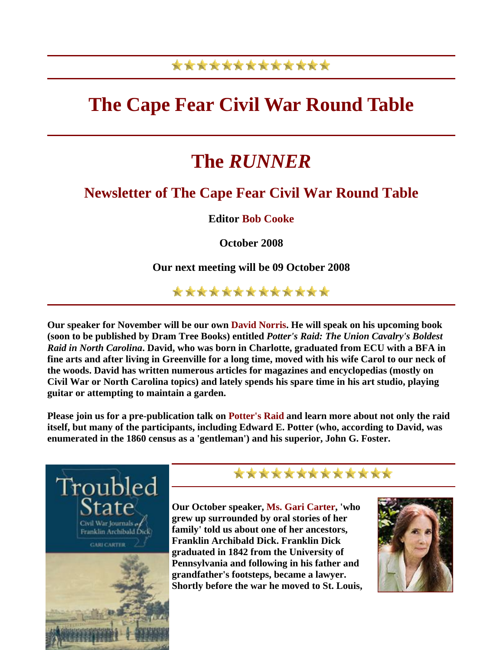### \*\*\*\*\*\*\*\*\*\*\*\*\*

## **The Cape Fear Civil War Round Table**

# **The** *RUNNER*

#### **Newsletter of The Cape Fear Civil War Round Table**

**Editor Bob Cooke**

**October 2008** 

**Our next meeting will be 09 October 2008** 

\*\*\*\*\*\*\*\*\*\*\*\*\*

**Our speaker for November will be our own David Norris. He will speak on his upcoming book (soon to be published by Dram Tree Books) entitled** *Potter's Raid: The Union Cavalry's Boldest Raid in North Carolina***. David, who was born in Charlotte, graduated from ECU with a BFA in fine arts and after living in Greenville for a long time, moved with his wife Carol to our neck of the woods. David has written numerous articles for magazines and encyclopedias (mostly on Civil War or North Carolina topics) and lately spends his spare time in his art studio, playing guitar or attempting to maintain a garden.** 

**Please join us for a pre-publication talk on Potter's Raid and learn more about not only the raid itself, but many of the participants, including Edward E. Potter (who, according to David, was enumerated in the 1860 census as a 'gentleman') and his superior, John G. Foster.** 



#### \*\*\*\*\*\*\*\*\*\*\*\*\*

**Our October speaker, Ms. Gari Carter, 'who grew up surrounded by oral stories of her family' told us about one of her ancestors, Franklin Archibald Dick. Franklin Dick graduated in 1842 from the University of Pennsylvania and following in his father and grandfather's footsteps, became a lawyer. Shortly before the war he moved to St. Louis,** 

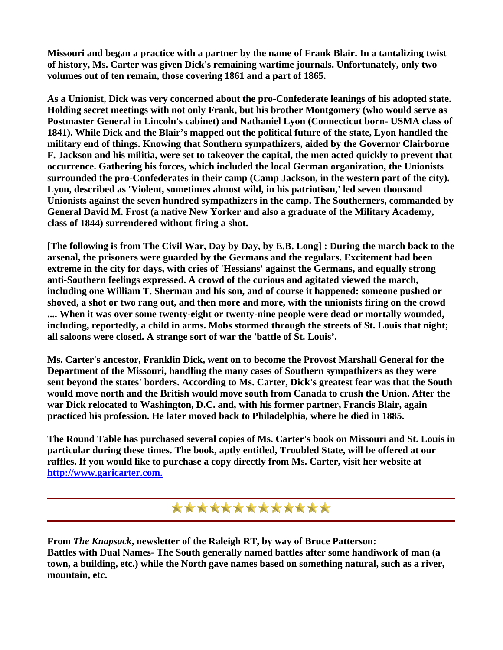**Missouri and began a practice with a partner by the name of Frank Blair. In a tantalizing twist of history, Ms. Carter was given Dick's remaining wartime journals. Unfortunately, only two volumes out of ten remain, those covering 1861 and a part of 1865.** 

**As a Unionist, Dick was very concerned about the pro-Confederate leanings of his adopted state. Holding secret meetings with not only Frank, but his brother Montgomery (who would serve as Postmaster General in Lincoln's cabinet) and Nathaniel Lyon (Connecticut born- USMA class of 1841). While Dick and the Blair's mapped out the political future of the state, Lyon handled the military end of things. Knowing that Southern sympathizers, aided by the Governor Clairborne F. Jackson and his militia, were set to takeover the capital, the men acted quickly to prevent that occurrence. Gathering his forces, which included the local German organization, the Unionists surrounded the pro-Confederates in their camp (Camp Jackson, in the western part of the city). Lyon, described as 'Violent, sometimes almost wild, in his patriotism,' led seven thousand Unionists against the seven hundred sympathizers in the camp. The Southerners, commanded by General David M. Frost (a native New Yorker and also a graduate of the Military Academy, class of 1844) surrendered without firing a shot.** 

**[The following is from The Civil War, Day by Day, by E.B. Long] : During the march back to the arsenal, the prisoners were guarded by the Germans and the regulars. Excitement had been extreme in the city for days, with cries of 'Hessians' against the Germans, and equally strong anti-Southern feelings expressed. A crowd of the curious and agitated viewed the march, including one William T. Sherman and his son, and of course it happened: someone pushed or shoved, a shot or two rang out, and then more and more, with the unionists firing on the crowd .... When it was over some twenty-eight or twenty-nine people were dead or mortally wounded, including, reportedly, a child in arms. Mobs stormed through the streets of St. Louis that night; all saloons were closed. A strange sort of war the 'battle of St. Louis'.** 

**Ms. Carter's ancestor, Franklin Dick, went on to become the Provost Marshall General for the Department of the Missouri, handling the many cases of Southern sympathizers as they were sent beyond the states' borders. According to Ms. Carter, Dick's greatest fear was that the South would move north and the British would move south from Canada to crush the Union. After the war Dick relocated to Washington, D.C. and, with his former partner, Francis Blair, again practiced his profession. He later moved back to Philadelphia, where he died in 1885.** 

**The Round Table has purchased several copies of Ms. Carter's book on Missouri and St. Louis in particular during these times. The book, aptly entitled, Troubled State, will be offered at our raffles. If you would like to purchase a copy directly from Ms. Carter, visit her website at [http://www.garicarter.com.](http://www.garicarter.com/index.htm)** 

\*\*\*\*\*\*\*\*\*\*\*\*\*

**From** *The Knapsack***, newsletter of the Raleigh RT, by way of Bruce Patterson: Battles with Dual Names- The South generally named battles after some handiwork of man (a town, a building, etc.) while the North gave names based on something natural, such as a river, mountain, etc.**